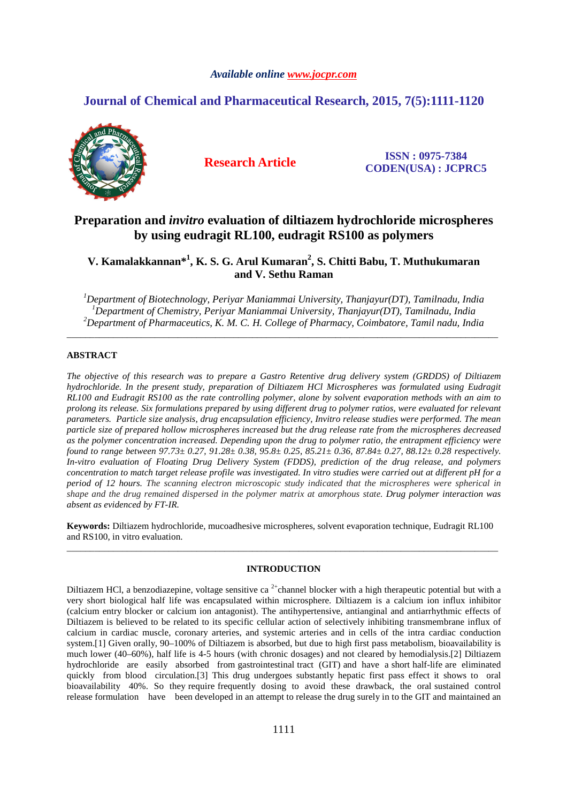### *Available online www.jocpr.com*

# **Journal of Chemical and Pharmaceutical Research, 2015, 7(5):1111-1120**



**Research Article ISSN : 0975-7384 CODEN(USA) : JCPRC5**

# **Preparation and** *invitro* **evaluation of diltiazem hydrochloride microspheres by using eudragit RL100, eudragit RS100 as polymers**

**V. Kamalakkannan\*<sup>1</sup> , K. S. G. Arul Kumaran<sup>2</sup> , S. Chitti Babu, T. Muthukumaran and V. Sethu Raman** 

*<sup>1</sup>Department of Biotechnology, Periyar Maniammai University, Thanjayur(DT), Tamilnadu, India <sup>1</sup>Department of Chemistry, Periyar Maniammai University, Thanjayur(DT), Tamilnadu, India <sup>2</sup>Department of Pharmaceutics, K. M. C. H. College of Pharmacy, Coimbatore, Tamil nadu, India* 

\_\_\_\_\_\_\_\_\_\_\_\_\_\_\_\_\_\_\_\_\_\_\_\_\_\_\_\_\_\_\_\_\_\_\_\_\_\_\_\_\_\_\_\_\_\_\_\_\_\_\_\_\_\_\_\_\_\_\_\_\_\_\_\_\_\_\_\_\_\_\_\_\_\_\_\_\_\_\_\_\_\_\_\_\_\_\_\_\_\_\_\_\_

#### **ABSTRACT**

*The objective of this research was to prepare a Gastro Retentive drug delivery system (GRDDS) of Diltiazem hydrochloride. In the present study, preparation of Diltiazem HCl Microspheres was formulated using Eudragit RL100 and Eudragit RS100 as the rate controlling polymer, alone by solvent evaporation methods with an aim to prolong its release. Six formulations prepared by using different drug to polymer ratios, were evaluated for relevant parameters. Particle size analysis, drug encapsulation efficiency, Invitro release studies were performed. The mean particle size of prepared hollow microspheres increased but the drug release rate from the microspheres decreased as the polymer concentration increased. Depending upon the drug to polymer ratio, the entrapment efficiency were found to range between 97.73± 0.27, 91.28± 0.38, 95.8± 0.25, 85.21± 0.36, 87.84± 0.27, 88.12± 0.28 respectively. In-vitro evaluation of Floating Drug Delivery System (FDDS), prediction of the drug release, and polymers concentration to match target release profile was investigated. In vitro studies were carried out at different pH for a period of 12 hours. The scanning electron microscopic study indicated that the microspheres were spherical in shape and the drug remained dispersed in the polymer matrix at amorphous state. Drug polymer interaction was absent as evidenced by FT-IR.* 

**Keywords:** Diltiazem hydrochloride, mucoadhesive microspheres, solvent evaporation technique, Eudragit RL100 and RS100, in vitro evaluation. \_\_\_\_\_\_\_\_\_\_\_\_\_\_\_\_\_\_\_\_\_\_\_\_\_\_\_\_\_\_\_\_\_\_\_\_\_\_\_\_\_\_\_\_\_\_\_\_\_\_\_\_\_\_\_\_\_\_\_\_\_\_\_\_\_\_\_\_\_\_\_\_\_\_\_\_\_\_\_\_\_\_\_\_\_\_\_\_\_\_\_\_\_

## **INTRODUCTION**

Diltiazem HCl, a benzodiazepine, voltage sensitive ca<sup>2+</sup>channel blocker with a high therapeutic potential but with a very short biological half life was encapsulated within microsphere. Diltiazem is a calcium ion influx inhibitor (calcium entry blocker or calcium ion antagonist). The antihypertensive, antianginal and antiarrhythmic effects of Diltiazem is believed to be related to its specific cellular action of selectively inhibiting transmembrane influx of calcium in cardiac muscle, coronary arteries, and systemic arteries and in cells of the intra cardiac conduction system.[1] Given orally, 90–100% of Diltiazem is absorbed, but due to high first pass metabolism, bioavailability is much lower (40–60%), half life is 4-5 hours (with chronic dosages) and not cleared by hemodialysis.[2] Diltiazem hydrochloride are easily absorbed from gastrointestinal tract (GIT) and have a short half-life are eliminated quickly from blood circulation.[3] This drug undergoes substantly hepatic first pass effect it shows to oral bioavailability 40%. So they require frequently dosing to avoid these drawback, the oral sustained control release formulation have been developed in an attempt to release the drug surely in to the GIT and maintained an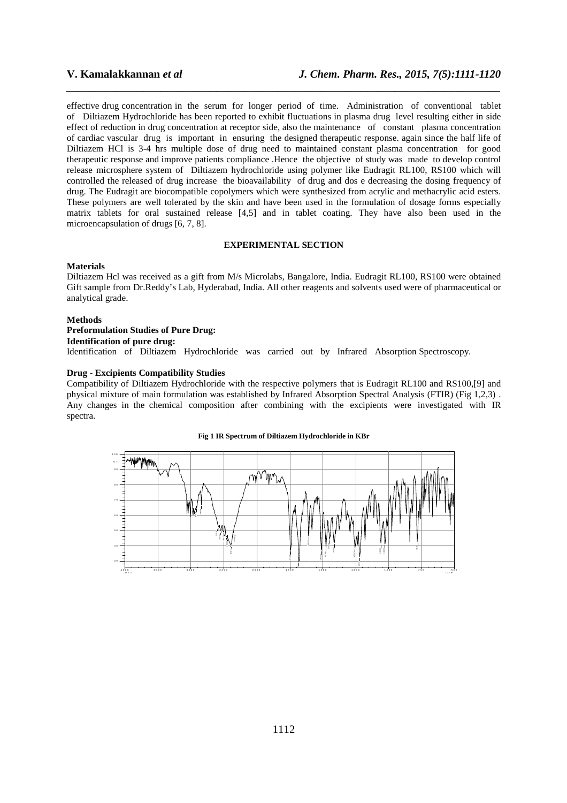effective drug concentration in the serum for longer period of time. Administration of conventional tablet of Diltiazem Hydrochloride has been reported to exhibit fluctuations in plasma drug level resulting either in side effect of reduction in drug concentration at receptor side, also the maintenance of constant plasma concentration of cardiac vascular drug is important in ensuring the designed therapeutic response. again since the half life of Diltiazem HCl is 3-4 hrs multiple dose of drug need to maintained constant plasma concentration for good therapeutic response and improve patients compliance .Hence the objective of study was made to develop control release microsphere system of Diltiazem hydrochloride using polymer like Eudragit RL100, RS100 which will controlled the released of drug increase the bioavailability of drug and dos e decreasing the dosing frequency of drug. The Eudragit are biocompatible copolymers which were synthesized from acrylic and methacrylic acid esters. These polymers are well tolerated by the skin and have been used in the formulation of dosage forms especially matrix tablets for oral sustained release [4,5] and in tablet coating. They have also been used in the microencapsulation of drugs [6, 7, 8].

*\_\_\_\_\_\_\_\_\_\_\_\_\_\_\_\_\_\_\_\_\_\_\_\_\_\_\_\_\_\_\_\_\_\_\_\_\_\_\_\_\_\_\_\_\_\_\_\_\_\_\_\_\_\_\_\_\_\_\_\_\_\_\_\_\_\_\_\_\_\_\_\_\_\_\_\_\_\_*

### **EXPERIMENTAL SECTION**

#### **Materials**

Diltiazem Hcl was received as a gift from M/s Microlabs, Bangalore, India. Eudragit RL100, RS100 were obtained Gift sample from Dr.Reddy's Lab, Hyderabad, India. All other reagents and solvents used were of pharmaceutical or analytical grade.

#### **Methods**

## **Preformulation Studies of Pure Drug:**

### **Identification of pure drug:**

Identification of Diltiazem Hydrochloride was carried out by Infrared Absorption Spectroscopy.

### **Drug - Excipients Compatibility Studies**

Compatibility of Diltiazem Hydrochloride with the respective polymers that is Eudragit RL100 and RS100,[9] and physical mixture of main formulation was established by Infrared Absorption Spectral Analysis (FTIR) (Fig 1,2,3) . Any changes in the chemical composition after combining with the excipients were investigated with IR spectra.

#### **Fig 1 IR Spectrum of Diltiazem Hydrochloride in KBr**

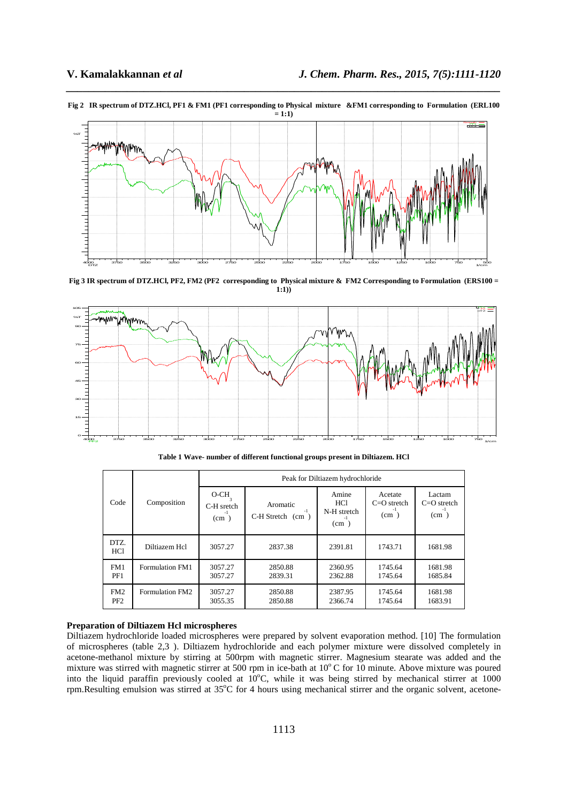

**Fig 2 IR spectrum of DTZ.HCl, PF1 & FM1 (PF1 corresponding to Physical mixture &FM1 corresponding to Formulation (ERL100 = 1:1)** 

*\_\_\_\_\_\_\_\_\_\_\_\_\_\_\_\_\_\_\_\_\_\_\_\_\_\_\_\_\_\_\_\_\_\_\_\_\_\_\_\_\_\_\_\_\_\_\_\_\_\_\_\_\_\_\_\_\_\_\_\_\_\_\_\_\_\_\_\_\_\_\_\_\_\_\_\_\_\_*

**Fig 3 IR spectrum of DTZ.HCl, PF2, FM2 (PF2 corresponding to Physical mixture & FM2 Corresponding to Formulation (ERS100 = 1:1))** 



**Table 1 Wave- number of different functional groups present in Diltiazem. HCl** 

|                                    | Composition     | Peak for Diltiazem hydrochloride |                                   |                                            |                                  |                                 |  |
|------------------------------------|-----------------|----------------------------------|-----------------------------------|--------------------------------------------|----------------------------------|---------------------------------|--|
| Code                               |                 | O-CH<br>C-H sretch<br>(cm)       | Aromatic<br>$C-H$ Stretch $(cm )$ | Amine<br><b>HCl</b><br>N-H stretch<br>(cm) | Acetate<br>$C=O$ stretch<br>(cm) | Lactam<br>$C=O$ stretch<br>(cm) |  |
| DTZ.<br>HCl                        | Diltiazem Hcl   | 3057.27                          | 2837.38                           | 2391.81                                    | 1743.71                          | 1681.98                         |  |
| FM1<br>PF1                         | Formulation FM1 | 3057.27<br>3057.27               | 2850.88<br>2839.31                | 2360.95<br>2362.88                         | 1745.64<br>1745.64               | 1681.98<br>1685.84              |  |
| FM <sub>2</sub><br>PF <sub>2</sub> | Formulation FM2 | 3057.27<br>3055.35               | 2850.88<br>2850.88                | 2387.95<br>2366.74                         | 1745.64<br>1745.64               | 1681.98<br>1683.91              |  |

#### **Preparation of Diltiazem Hcl microspheres**

Diltiazem hydrochloride loaded microspheres were prepared by solvent evaporation method. [10] The formulation of microspheres (table 2,3 ). Diltiazem hydrochloride and each polymer mixture were dissolved completely in acetone-methanol mixture by stirring at 500rpm with magnetic stirrer. Magnesium stearate was added and the mixture was stirred with magnetic stirrer at 500 rpm in ice-bath at  $10^{\circ}$ C for 10 minute. Above mixture was poured into the liquid paraffin previously cooled at 10°C, while it was being stirred by mechanical stirrer at 1000 rpm. Resulting emulsion was stirred at  $35^{\circ}$ C for 4 hours using mechanical stirrer and the organic solvent, acetone-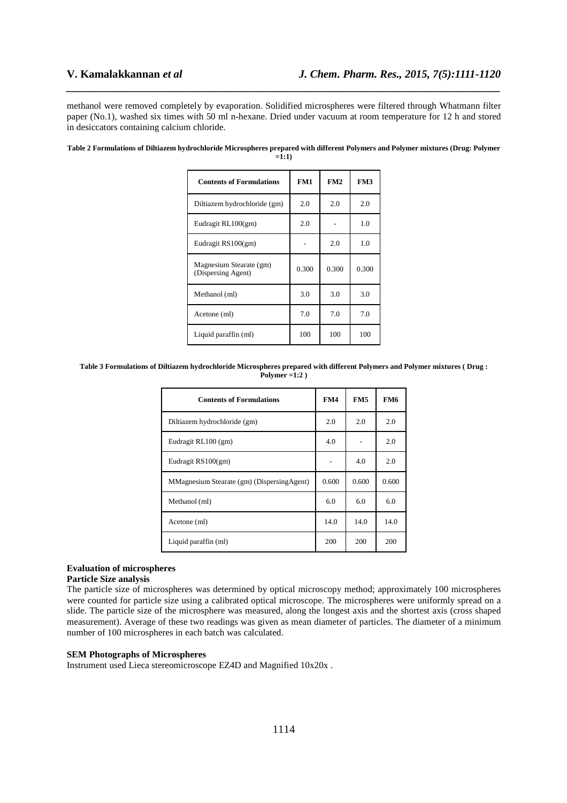methanol were removed completely by evaporation. Solidified microspheres were filtered through Whatmann filter paper (No.1), washed six times with 50 ml n-hexane. Dried under vacuum at room temperature for 12 h and stored in desiccators containing calcium chloride.

*\_\_\_\_\_\_\_\_\_\_\_\_\_\_\_\_\_\_\_\_\_\_\_\_\_\_\_\_\_\_\_\_\_\_\_\_\_\_\_\_\_\_\_\_\_\_\_\_\_\_\_\_\_\_\_\_\_\_\_\_\_\_\_\_\_\_\_\_\_\_\_\_\_\_\_\_\_\_*

| <b>Contents of Formulations</b>               | FM1   | FM2   | FM3   |
|-----------------------------------------------|-------|-------|-------|
| Diltiazem hydrochloride (gm)                  | 2.0   | 2.0   | 2.0   |
| Eudragit RL100(gm)                            | 2.0   |       | 1.0   |
| Eudragit RS100(gm)                            |       | 2.0   | 1.0   |
| Magnesium Stearate (gm)<br>(Dispersing Agent) | 0.300 | 0.300 | 0.300 |
| Methanol (ml)                                 | 3.0   | 3.0   | 3.0   |
| Acetone (ml)                                  | 7.0   | 7.0   | 7.0   |
| Liquid paraffin (ml)                          | 100   | 100   | 100   |

**Table 2 Formulations of Diltiazem hydrochloride Microspheres prepared with different Polymers and Polymer mixtures (Drug: Polymer**   $=1:1$ 

**Table 3 Formulations of Diltiazem hydrochloride Microspheres prepared with different Polymers and Polymer mixtures ( Drug : Polymer =1:2 )** 

| <b>Contents of Formulations</b>             | FM4   | FM <sub>5</sub> | FM6   |
|---------------------------------------------|-------|-----------------|-------|
| Diltiazem hydrochloride (gm)                | 2.0   | 2.0             | 2.0   |
| Eudragit RL100 (gm)                         | 4.0   |                 | 2.0   |
| Eudragit RS100(gm)                          |       | 4.0             | 2.0   |
| MMagnesium Stearate (gm) (Dispersing Agent) | 0.600 | 0.600           | 0.600 |
| Methanol (ml)                               | 6.0   | 6.0             | 6.0   |
| Acetone (ml)                                | 14.0  | 14.0            | 14.0  |
| Liquid paraffin (ml)                        | 200   | 200             | 200   |

# **Evaluation of microspheres**

## **Particle Size analysis**

The particle size of microspheres was determined by optical microscopy method; approximately 100 microspheres were counted for particle size using a calibrated optical microscope. The microspheres were uniformly spread on a slide. The particle size of the microsphere was measured, along the longest axis and the shortest axis (cross shaped measurement). Average of these two readings was given as mean diameter of particles. The diameter of a minimum number of 100 microspheres in each batch was calculated.

#### **SEM Photographs of Microspheres**

Instrument used Lieca stereomicroscope EZ4D and Magnified 10x20x .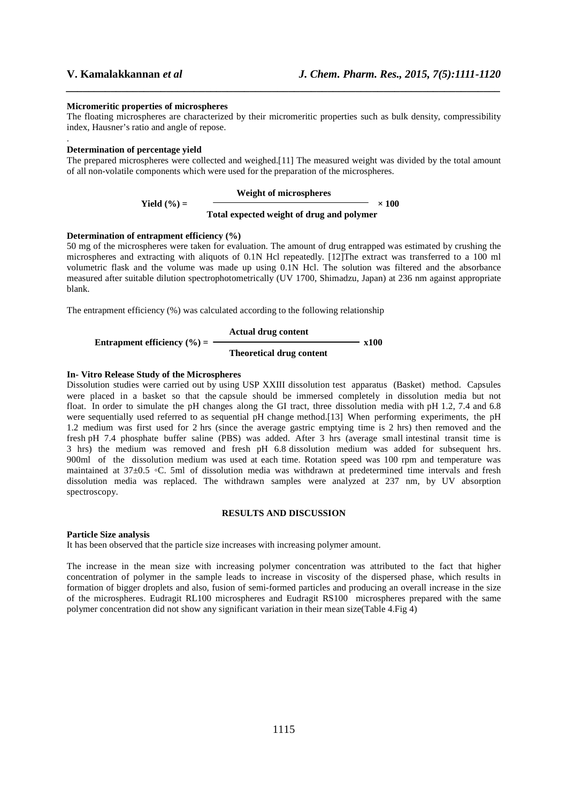.

#### **Micromeritic properties of microspheres**

The floating microspheres are characterized by their micromeritic properties such as bulk density, compressibility index, Hausner's ratio and angle of repose.

*\_\_\_\_\_\_\_\_\_\_\_\_\_\_\_\_\_\_\_\_\_\_\_\_\_\_\_\_\_\_\_\_\_\_\_\_\_\_\_\_\_\_\_\_\_\_\_\_\_\_\_\_\_\_\_\_\_\_\_\_\_\_\_\_\_\_\_\_\_\_\_\_\_\_\_\_\_\_*

#### **Determination of percentage yield**

The prepared microspheres were collected and weighed.[11] The measured weight was divided by the total amount of all non-volatile components which were used for the preparation of the microspheres.

#### **Weight of microspheres**

Yield (
$$
\%
$$
) =  
Total expected weight of drug and polymer

#### **Determination of entrapment efficiency (%)**

50 mg of the microspheres were taken for evaluation. The amount of drug entrapped was estimated by crushing the microspheres and extracting with aliquots of 0.1N Hcl repeatedly. [12]The extract was transferred to a 100 ml volumetric flask and the volume was made up using 0.1N Hcl. The solution was filtered and the absorbance measured after suitable dilution spectrophotometrically (UV 1700, Shimadzu, Japan) at 236 nm against appropriate blank.

The entrapment efficiency (%) was calculated according to the following relationship

| Entrapment efficiency ( $\%$ ) = | Actual drug content | x100 |
|----------------------------------|---------------------|------|
| Theoretical drug content         |                     |      |

#### **In- Vitro Release Study of the Microspheres**

Dissolution studies were carried out by using USP XXIII dissolution test apparatus (Basket) method. Capsules were placed in a basket so that the capsule should be immersed completely in dissolution media but not float. In order to simulate the pH changes along the GI tract, three dissolution media with pH 1.2, 7.4 and 6.8 were sequentially used referred to as sequential pH change method.[13] When performing experiments, the pH 1.2 medium was first used for 2 hrs (since the average gastric emptying time is 2 hrs) then removed and the fresh pH 7.4 phosphate buffer saline (PBS) was added. After 3 hrs (average small intestinal transit time is 3 hrs) the medium was removed and fresh pH 6.8 dissolution medium was added for subsequent hrs. 900ml of the dissolution medium was used at each time. Rotation speed was 100 rpm and temperature was maintained at 37±0.5 ◦C. 5ml of dissolution media was withdrawn at predetermined time intervals and fresh dissolution media was replaced. The withdrawn samples were analyzed at 237 nm, by UV absorption spectroscopy.

#### **RESULTS AND DISCUSSION**

#### **Particle Size analysis**

It has been observed that the particle size increases with increasing polymer amount.

The increase in the mean size with increasing polymer concentration was attributed to the fact that higher concentration of polymer in the sample leads to increase in viscosity of the dispersed phase, which results in formation of bigger droplets and also, fusion of semi-formed particles and producing an overall increase in the size of the microspheres. Eudragit RL100 microspheres and Eudragit RS100 microspheres prepared with the same polymer concentration did not show any significant variation in their mean size(Table 4.Fig 4)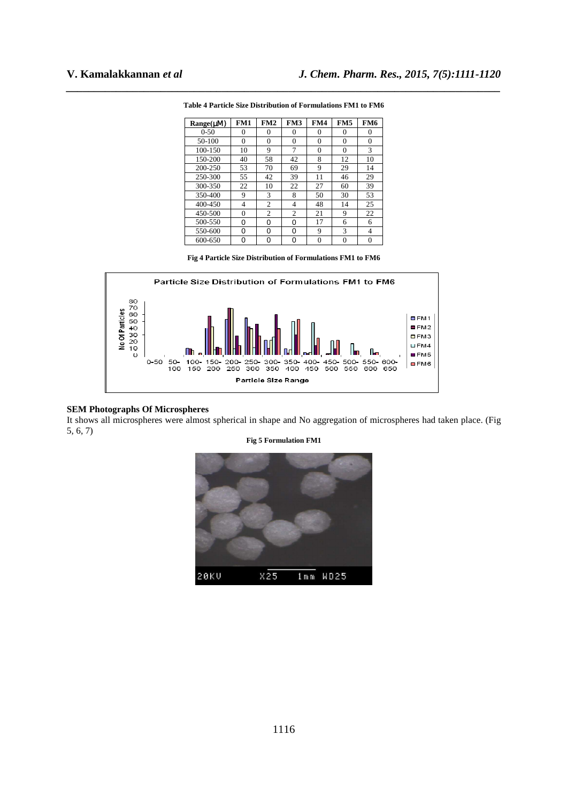| $Range(\mu M)$ | FM1 | FM2            | FM3 | FM4      | FM5      | FM6            |
|----------------|-----|----------------|-----|----------|----------|----------------|
| $0 - 50$       | 0   | 0              | 0   | 0        | 0        | 0              |
| 50-100         | 0   | $\Omega$       | 0   | 0        | 0        | $\overline{0}$ |
| 100-150        | 10  | 9              | 7   | $\theta$ | 0        | 3              |
| 150-200        | 40  | 58             | 42  | 8        | 12       | 10             |
| 200-250        | 53  | 70             | 69  | 9        | 29       | 14             |
| 250-300        | 55  | 42             | 39  | 11       | 46       | 29             |
| 300-350        | 22  | 10             | 22  | 27       | 60       | 39             |
| 350-400        | 9   | 3              | 8   | 50       | 30       | 53             |
| 400-450        | 4   | $\overline{c}$ | 4   | 48       | 14       | 25             |
| 450-500        | 0   | 2              | 2   | 21       | 9        | 22             |
| 500-550        | 0   | 0              | 0   | 17       | 6        | 6              |
| 550-600        | 0   | 0              | 0   | 9        | 3        | 4              |
| 600-650        | 0   | 0              | n   | 0        | $\Omega$ | 0              |

*\_\_\_\_\_\_\_\_\_\_\_\_\_\_\_\_\_\_\_\_\_\_\_\_\_\_\_\_\_\_\_\_\_\_\_\_\_\_\_\_\_\_\_\_\_\_\_\_\_\_\_\_\_\_\_\_\_\_\_\_\_\_\_\_\_\_\_\_\_\_\_\_\_\_\_\_\_\_* **Table 4 Particle Size Distribution of Formulations FM1 to FM6** 

**Fig 4 Particle Size Distribution of Formulations FM1 to FM6** 



#### **SEM Photographs Of Microspheres**

It shows all microspheres were almost spherical in shape and No aggregation of microspheres had taken place. (Fig 5, 6, 7)



**Fig 5 Formulation FM1**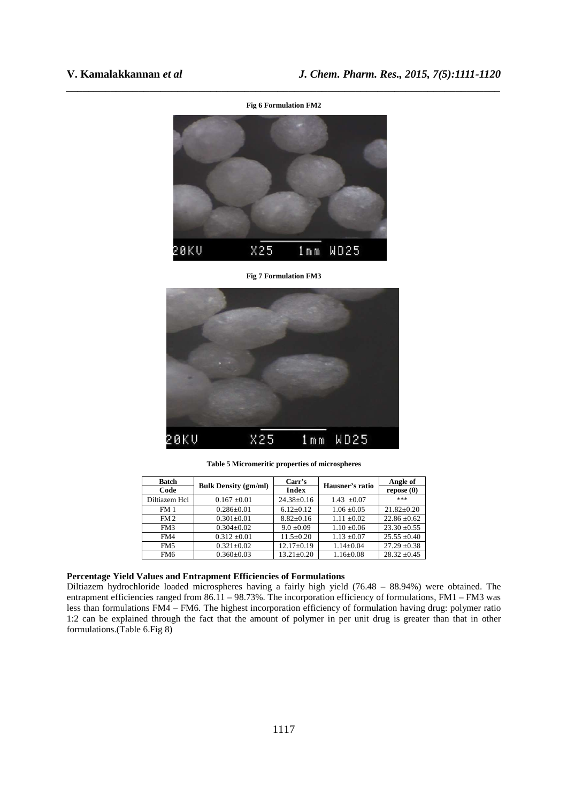

*\_\_\_\_\_\_\_\_\_\_\_\_\_\_\_\_\_\_\_\_\_\_\_\_\_\_\_\_\_\_\_\_\_\_\_\_\_\_\_\_\_\_\_\_\_\_\_\_\_\_\_\_\_\_\_\_\_\_\_\_\_\_\_\_\_\_\_\_\_\_\_\_\_\_\_\_\_\_*

#### **Fig 7 Formulation FM3**



**Table 5 Micromeritic properties of microspheres** 

| <b>Batch</b>    | <b>Bulk Density (gm/ml)</b> | Carr's           | Hausner's ratio | Angle of          |
|-----------------|-----------------------------|------------------|-----------------|-------------------|
| Code            |                             | <b>Index</b>     |                 | repose $(\theta)$ |
| Diltiazem Hcl   | $0.167 \pm 0.01$            | $24.38 \pm 0.16$ | $1.43 \pm 0.07$ | ***               |
| FM <sub>1</sub> | $0.286 \pm 0.01$            | $6.12+0.12$      | $1.06 \pm 0.05$ | $21.82+0.20$      |
| FM <sub>2</sub> | $0.301 \pm 0.01$            | $8.82 \pm 0.16$  | $1.11 \pm 0.02$ | $22.86 \pm 0.62$  |
| FM3             | $0.304 \pm 0.02$            | $9.0 \pm 0.09$   | $1.10 \pm 0.06$ | $23.30 \pm 0.55$  |
| FM4             | $0.312 \pm 0.01$            | $11.5 \pm 0.20$  | $1.13 \pm 0.07$ | $25.55 \pm 0.40$  |
| FM5             | $0.321 \pm 0.02$            | $12.17 \pm 0.19$ | $1.14 \pm 0.04$ | $27.29 \pm 0.38$  |
| FM <sub>6</sub> | $0.360 \pm 0.03$            | $13.21 \pm 0.20$ | $1.16 \pm 0.08$ | $28.32 \pm 0.45$  |

### **Percentage Yield Values and Entrapment Efficiencies of Formulations**

Diltiazem hydrochloride loaded microspheres having a fairly high yield (76.48 – 88.94%) were obtained. The entrapment efficiencies ranged from 86.11 – 98.73%. The incorporation efficiency of formulations, FM1 – FM3 was less than formulations FM4 – FM6. The highest incorporation efficiency of formulation having drug: polymer ratio 1:2 can be explained through the fact that the amount of polymer in per unit drug is greater than that in other formulations.(Table 6.Fig 8)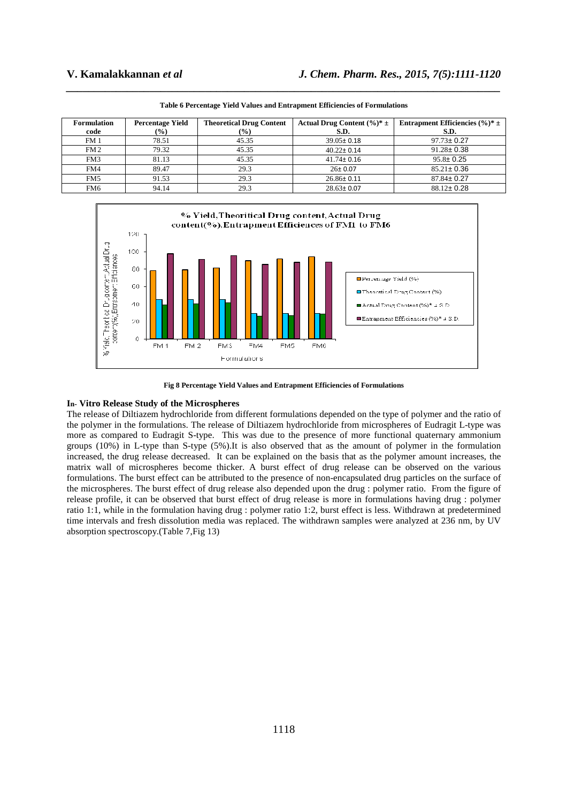| <b>Formulation</b> | <b>Percentage Yield</b> | <b>Theoretical Drug Content</b> | Actual Drug Content $(\frac{6}{6})^* \pm$ | Entrapment Efficiencies $(\frac{6}{6})^* \pm$ |
|--------------------|-------------------------|---------------------------------|-------------------------------------------|-----------------------------------------------|
| code               | $\frac{9}{6}$           | $($ %)                          | S.D.                                      | S.D.                                          |
| FM <sub>1</sub>    | 78.51                   | 45.35                           | $39.05 \pm 0.18$                          | $97.73 \pm 0.27$                              |
| FM <sub>2</sub>    | 79.32                   | 45.35                           | $40.22 \pm 0.14$                          | $91.28 \pm 0.38$                              |
| FM3                | 81.13                   | 45.35                           | $41.74 \pm 0.16$                          | $95.8 \pm 0.25$                               |
| FM4                | 89.47                   | 29.3                            | $26 \pm 0.07$                             | $85.21 \pm 0.36$                              |
| FM <sub>5</sub>    | 91.53                   | 29.3                            | $26.86 \pm 0.11$                          | $87.84 \pm 0.27$                              |
| FM <sub>6</sub>    | 94.14                   | 29.3                            | $28.63 \pm 0.07$                          | $88.12 \pm 0.28$                              |

*\_\_\_\_\_\_\_\_\_\_\_\_\_\_\_\_\_\_\_\_\_\_\_\_\_\_\_\_\_\_\_\_\_\_\_\_\_\_\_\_\_\_\_\_\_\_\_\_\_\_\_\_\_\_\_\_\_\_\_\_\_\_\_\_\_\_\_\_\_\_\_\_\_\_\_\_\_\_* **Table 6 Percentage Yield Values and Entrapment Efficiencies of Formulations** 



**Fig 8 Percentage Yield Values and Entrapment Efficiencies of Formulations**

#### **In- Vitro Release Study of the Microspheres**

The release of Diltiazem hydrochloride from different formulations depended on the type of polymer and the ratio of the polymer in the formulations. The release of Diltiazem hydrochloride from microspheres of Eudragit L-type was more as compared to Eudragit S-type. This was due to the presence of more functional quaternary ammonium groups (10%) in L-type than S-type (5%).It is also observed that as the amount of polymer in the formulation increased, the drug release decreased. It can be explained on the basis that as the polymer amount increases, the matrix wall of microspheres become thicker. A burst effect of drug release can be observed on the various formulations. The burst effect can be attributed to the presence of non-encapsulated drug particles on the surface of the microspheres. The burst effect of drug release also depended upon the drug : polymer ratio. From the figure of release profile, it can be observed that burst effect of drug release is more in formulations having drug : polymer ratio 1:1, while in the formulation having drug : polymer ratio 1:2, burst effect is less. Withdrawn at predetermined time intervals and fresh dissolution media was replaced. The withdrawn samples were analyzed at 236 nm, by UV absorption spectroscopy.(Table 7,Fig 13)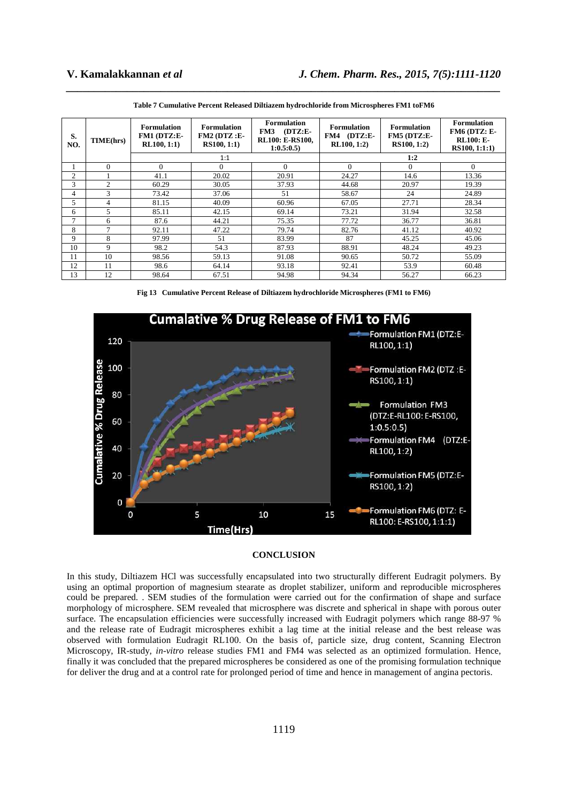| S.<br>NO. | TIME(hrs)      | <b>Formulation</b><br>FM1 (DTZ:E-<br>RL100, 1:1) | <b>Formulation</b><br>$FM2$ ( $DTZ$ :E-<br>RS100, 1:1) | <b>Formulation</b><br>$(DTZ:E-$<br>FM3<br><b>RL100: E-RS100.</b><br>1:0.5:0.5 | <b>Formulation</b><br>FM4 (DTZ:E-<br>RL100, 1:2) | <b>Formulation</b><br>FM5 (DTZ:E-<br><b>RS100, 1:2)</b> | <b>Formulation</b><br>FM6 (DTZ: E-<br><b>RL100: E-</b><br>RS100, 1:1:1) |  |
|-----------|----------------|--------------------------------------------------|--------------------------------------------------------|-------------------------------------------------------------------------------|--------------------------------------------------|---------------------------------------------------------|-------------------------------------------------------------------------|--|
|           |                |                                                  | 1:1                                                    |                                                                               | 1:2                                              |                                                         |                                                                         |  |
|           | 0              | $\Omega$                                         | $\Omega$                                               | $\Omega$                                                                      | $\Omega$                                         | $\Omega$                                                | $\Omega$                                                                |  |
| 2         |                | 41.1                                             | 20.02                                                  | 20.91                                                                         | 24.27                                            | 14.6                                                    | 13.36                                                                   |  |
| 3         | $\mathfrak{D}$ | 60.29                                            | 30.05                                                  | 37.93                                                                         | 44.68                                            | 20.97                                                   | 19.39                                                                   |  |
| 4         | 3              | 73.42                                            | 37.06                                                  | 51                                                                            | 58.67                                            | 24                                                      | 24.89                                                                   |  |
| 5.        | 4              | 81.15                                            | 40.09                                                  | 60.96                                                                         | 67.05                                            | 27.71                                                   | 28.34                                                                   |  |
| 6         | 5              | 85.11                                            | 42.15                                                  | 69.14                                                                         | 73.21                                            | 31.94                                                   | 32.58                                                                   |  |
|           | 6              | 87.6                                             | 44.21                                                  | 75.35                                                                         | 77.72                                            | 36.77                                                   | 36.81                                                                   |  |
| 8         |                | 92.11                                            | 47.22                                                  | 79.74                                                                         | 82.76                                            | 41.12                                                   | 40.92                                                                   |  |
| 9         | 8              | 97.99                                            | 51                                                     | 83.99                                                                         | 87                                               | 45.25                                                   | 45.06                                                                   |  |
| 10        | 9              | 98.2                                             | 54.3                                                   | 87.93                                                                         | 88.91                                            | 48.24                                                   | 49.23                                                                   |  |
| 11        | 10             | 98.56                                            | 59.13                                                  | 91.08                                                                         | 90.65                                            | 50.72                                                   | 55.09                                                                   |  |
| 12        | 11             | 98.6                                             | 64.14                                                  | 93.18                                                                         | 92.41                                            | 53.9                                                    | 60.48                                                                   |  |
| 13        | 12             | 98.64                                            | 67.51                                                  | 94.98                                                                         | 94.34                                            | 56.27                                                   | 66.23                                                                   |  |

**Table 7 Cumulative Percent Released Diltiazem hydrochloride from Microspheres FM1 toFM6** 

*\_\_\_\_\_\_\_\_\_\_\_\_\_\_\_\_\_\_\_\_\_\_\_\_\_\_\_\_\_\_\_\_\_\_\_\_\_\_\_\_\_\_\_\_\_\_\_\_\_\_\_\_\_\_\_\_\_\_\_\_\_\_\_\_\_\_\_\_\_\_\_\_\_\_\_\_\_\_*

**Fig 13 Cumulative Percent Release of Diltiazem hydrochloride Microspheres (FM1 to FM6)** 



#### **CONCLUSION**

In this study, Diltiazem HCl was successfully encapsulated into two structurally different Eudragit polymers. By using an optimal proportion of magnesium stearate as droplet stabilizer, uniform and reproducible microspheres could be prepared. . SEM studies of the formulation were carried out for the confirmation of shape and surface morphology of microsphere. SEM revealed that microsphere was discrete and spherical in shape with porous outer surface. The encapsulation efficiencies were successfully increased with Eudragit polymers which range 88-97 % and the release rate of Eudragit microspheres exhibit a lag time at the initial release and the best release was observed with formulation Eudragit RL100. On the basis of, particle size, drug content, Scanning Electron Microscopy, IR-study, *in-vitro* release studies FM1 and FM4 was selected as an optimized formulation. Hence, finally it was concluded that the prepared microspheres be considered as one of the promising formulation technique for deliver the drug and at a control rate for prolonged period of time and hence in management of angina pectoris.